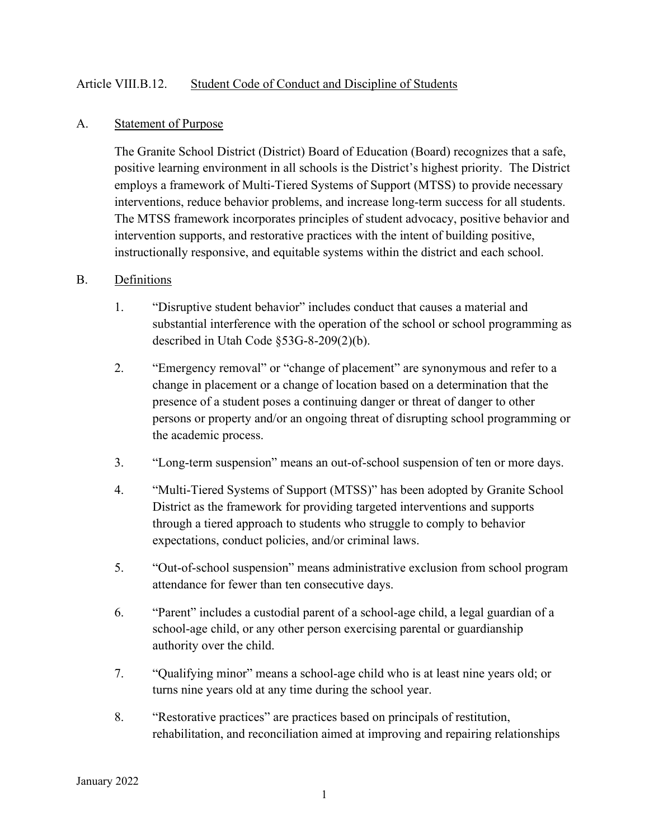### Article VIII.B.12. Student Code of Conduct and Discipline of Students

#### A. Statement of Purpose

The Granite School District (District) Board of Education (Board) recognizes that a safe, positive learning environment in all schools is the District's highest priority. The District employs a framework of Multi-Tiered Systems of Support (MTSS) to provide necessary interventions, reduce behavior problems, and increase long-term success for all students. The MTSS framework incorporates principles of student advocacy, positive behavior and intervention supports, and restorative practices with the intent of building positive, instructionally responsive, and equitable systems within the district and each school.

#### B. Definitions

- 1. "Disruptive student behavior" includes conduct that causes a material and substantial interference with the operation of the school or school programming as described in Utah Code §53G-8-209(2)(b).
- 2. "Emergency removal" or "change of placement" are synonymous and refer to a change in placement or a change of location based on a determination that the presence of a student poses a continuing danger or threat of danger to other persons or property and/or an ongoing threat of disrupting school programming or the academic process.
- 3. "Long-term suspension" means an out-of-school suspension of ten or more days.
- 4. "Multi-Tiered Systems of Support (MTSS)" has been adopted by Granite School District as the framework for providing targeted interventions and supports through a tiered approach to students who struggle to comply to behavior expectations, conduct policies, and/or criminal laws.
- 5. "Out-of-school suspension" means administrative exclusion from school program attendance for fewer than ten consecutive days.
- 6. "Parent" includes a custodial parent of a school-age child, a legal guardian of a school-age child, or any other person exercising parental or guardianship authority over the child.
- 7. "Qualifying minor" means a school-age child who is at least nine years old; or turns nine years old at any time during the school year.
- 8. "Restorative practices" are practices based on principals of restitution, rehabilitation, and reconciliation aimed at improving and repairing relationships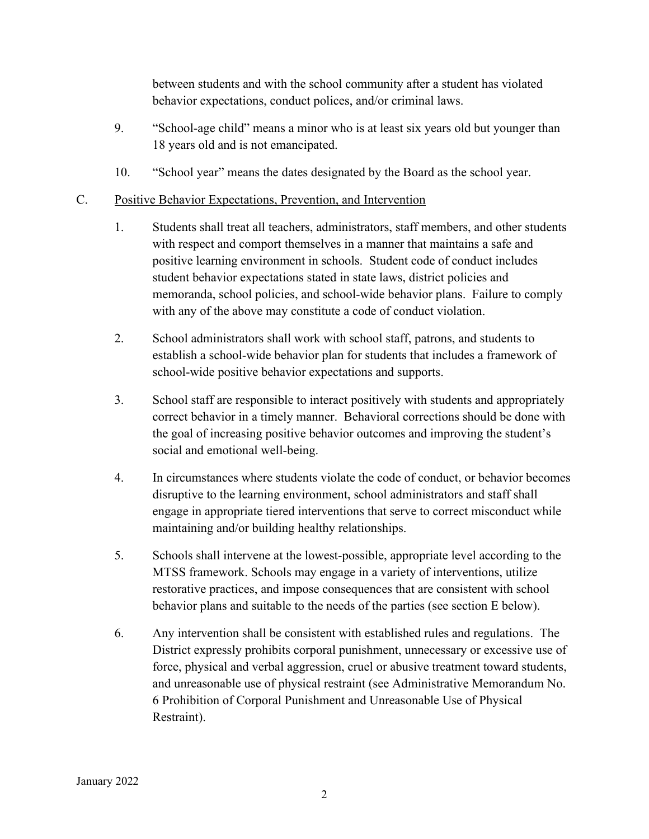between students and with the school community after a student has violated behavior expectations, conduct polices, and/or criminal laws.

- 9. "School-age child" means a minor who is at least six years old but younger than 18 years old and is not emancipated.
- 10. "School year" means the dates designated by the Board as the school year.

# C. Positive Behavior Expectations, Prevention, and Intervention

- 1. Students shall treat all teachers, administrators, staff members, and other students with respect and comport themselves in a manner that maintains a safe and positive learning environment in schools. Student code of conduct includes student behavior expectations stated in state laws, district policies and memoranda, school policies, and school-wide behavior plans. Failure to comply with any of the above may constitute a code of conduct violation.
- 2. School administrators shall work with school staff, patrons, and students to establish a school-wide behavior plan for students that includes a framework of school-wide positive behavior expectations and supports.
- 3. School staff are responsible to interact positively with students and appropriately correct behavior in a timely manner. Behavioral corrections should be done with the goal of increasing positive behavior outcomes and improving the student's social and emotional well-being.
- 4. In circumstances where students violate the code of conduct, or behavior becomes disruptive to the learning environment, school administrators and staff shall engage in appropriate tiered interventions that serve to correct misconduct while maintaining and/or building healthy relationships.
- 5. Schools shall intervene at the lowest-possible, appropriate level according to the MTSS framework. Schools may engage in a variety of interventions, utilize restorative practices, and impose consequences that are consistent with school behavior plans and suitable to the needs of the parties (see section E below).
- 6. Any intervention shall be consistent with established rules and regulations. The District expressly prohibits corporal punishment, unnecessary or excessive use of force, physical and verbal aggression, cruel or abusive treatment toward students, and unreasonable use of physical restraint (see Administrative Memorandum No. 6 Prohibition of Corporal Punishment and Unreasonable Use of Physical Restraint).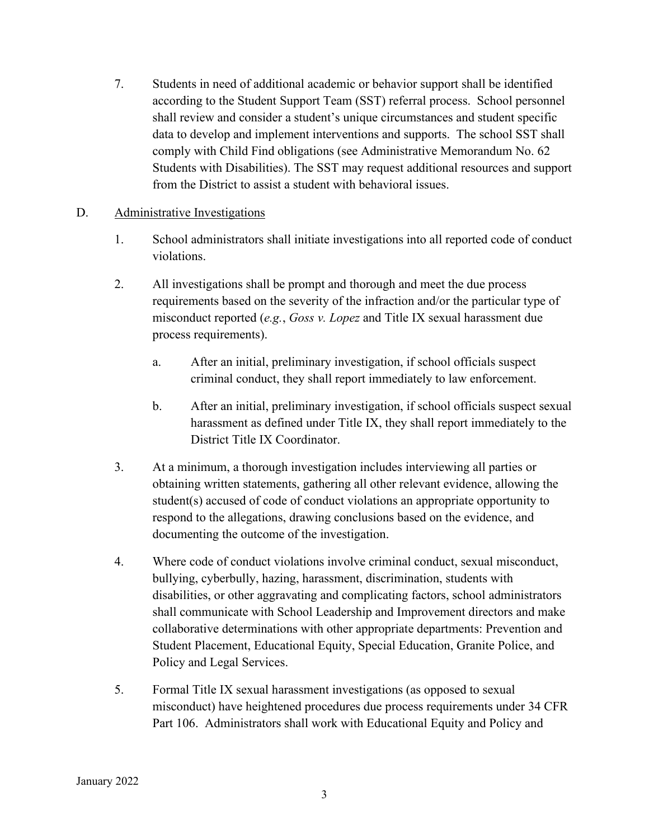7. Students in need of additional academic or behavior support shall be identified according to the Student Support Team (SST) referral process. School personnel shall review and consider a student's unique circumstances and student specific data to develop and implement interventions and supports. The school SST shall comply with Child Find obligations (see Administrative Memorandum No. 62 Students with Disabilities). The SST may request additional resources and support from the District to assist a student with behavioral issues.

### D. Administrative Investigations

- 1. School administrators shall initiate investigations into all reported code of conduct violations.
- 2. All investigations shall be prompt and thorough and meet the due process requirements based on the severity of the infraction and/or the particular type of misconduct reported (*e.g.*, *Goss v. Lopez* and Title IX sexual harassment due process requirements).
	- a. After an initial, preliminary investigation, if school officials suspect criminal conduct, they shall report immediately to law enforcement.
	- b. After an initial, preliminary investigation, if school officials suspect sexual harassment as defined under Title IX, they shall report immediately to the District Title IX Coordinator.
- 3. At a minimum, a thorough investigation includes interviewing all parties or obtaining written statements, gathering all other relevant evidence, allowing the student(s) accused of code of conduct violations an appropriate opportunity to respond to the allegations, drawing conclusions based on the evidence, and documenting the outcome of the investigation.
- 4. Where code of conduct violations involve criminal conduct, sexual misconduct, bullying, cyberbully, hazing, harassment, discrimination, students with disabilities, or other aggravating and complicating factors, school administrators shall communicate with School Leadership and Improvement directors and make collaborative determinations with other appropriate departments: Prevention and Student Placement, Educational Equity, Special Education, Granite Police, and Policy and Legal Services.
- 5. Formal Title IX sexual harassment investigations (as opposed to sexual misconduct) have heightened procedures due process requirements under 34 CFR Part 106. Administrators shall work with Educational Equity and Policy and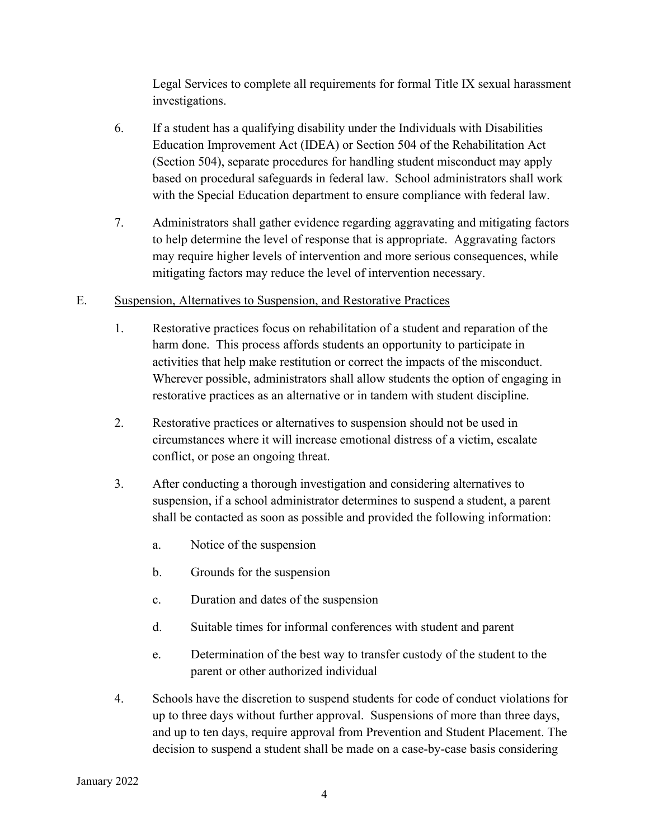Legal Services to complete all requirements for formal Title IX sexual harassment investigations.

- 6. If a student has a qualifying disability under the Individuals with Disabilities Education Improvement Act (IDEA) or Section 504 of the Rehabilitation Act (Section 504), separate procedures for handling student misconduct may apply based on procedural safeguards in federal law. School administrators shall work with the Special Education department to ensure compliance with federal law.
- 7. Administrators shall gather evidence regarding aggravating and mitigating factors to help determine the level of response that is appropriate. Aggravating factors may require higher levels of intervention and more serious consequences, while mitigating factors may reduce the level of intervention necessary.

## E. Suspension, Alternatives to Suspension, and Restorative Practices

- 1. Restorative practices focus on rehabilitation of a student and reparation of the harm done. This process affords students an opportunity to participate in activities that help make restitution or correct the impacts of the misconduct. Wherever possible, administrators shall allow students the option of engaging in restorative practices as an alternative or in tandem with student discipline.
- 2. Restorative practices or alternatives to suspension should not be used in circumstances where it will increase emotional distress of a victim, escalate conflict, or pose an ongoing threat.
- 3. After conducting a thorough investigation and considering alternatives to suspension, if a school administrator determines to suspend a student, a parent shall be contacted as soon as possible and provided the following information:
	- a. Notice of the suspension
	- b. Grounds for the suspension
	- c. Duration and dates of the suspension
	- d. Suitable times for informal conferences with student and parent
	- e. Determination of the best way to transfer custody of the student to the parent or other authorized individual
- 4. Schools have the discretion to suspend students for code of conduct violations for up to three days without further approval. Suspensions of more than three days, and up to ten days, require approval from Prevention and Student Placement. The decision to suspend a student shall be made on a case-by-case basis considering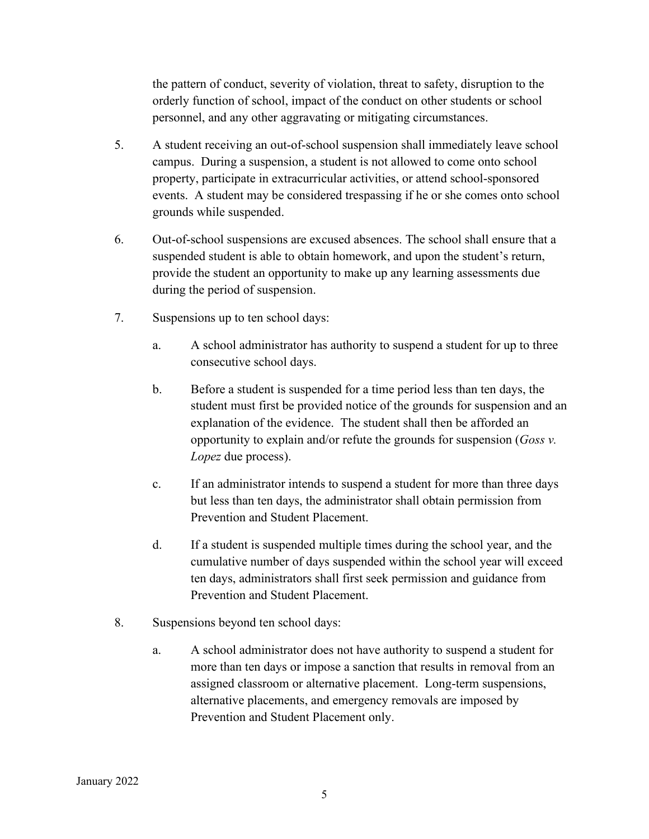the pattern of conduct, severity of violation, threat to safety, disruption to the orderly function of school, impact of the conduct on other students or school personnel, and any other aggravating or mitigating circumstances.

- 5. A student receiving an out-of-school suspension shall immediately leave school campus. During a suspension, a student is not allowed to come onto school property, participate in extracurricular activities, or attend school-sponsored events. A student may be considered trespassing if he or she comes onto school grounds while suspended.
- 6. Out-of-school suspensions are excused absences. The school shall ensure that a suspended student is able to obtain homework, and upon the student's return, provide the student an opportunity to make up any learning assessments due during the period of suspension.
- 7. Suspensions up to ten school days:
	- a. A school administrator has authority to suspend a student for up to three consecutive school days.
	- b. Before a student is suspended for a time period less than ten days, the student must first be provided notice of the grounds for suspension and an explanation of the evidence. The student shall then be afforded an opportunity to explain and/or refute the grounds for suspension (*Goss v. Lopez* due process).
	- c. If an administrator intends to suspend a student for more than three days but less than ten days, the administrator shall obtain permission from Prevention and Student Placement.
	- d. If a student is suspended multiple times during the school year, and the cumulative number of days suspended within the school year will exceed ten days, administrators shall first seek permission and guidance from Prevention and Student Placement.
- 8. Suspensions beyond ten school days:
	- a. A school administrator does not have authority to suspend a student for more than ten days or impose a sanction that results in removal from an assigned classroom or alternative placement. Long-term suspensions, alternative placements, and emergency removals are imposed by Prevention and Student Placement only.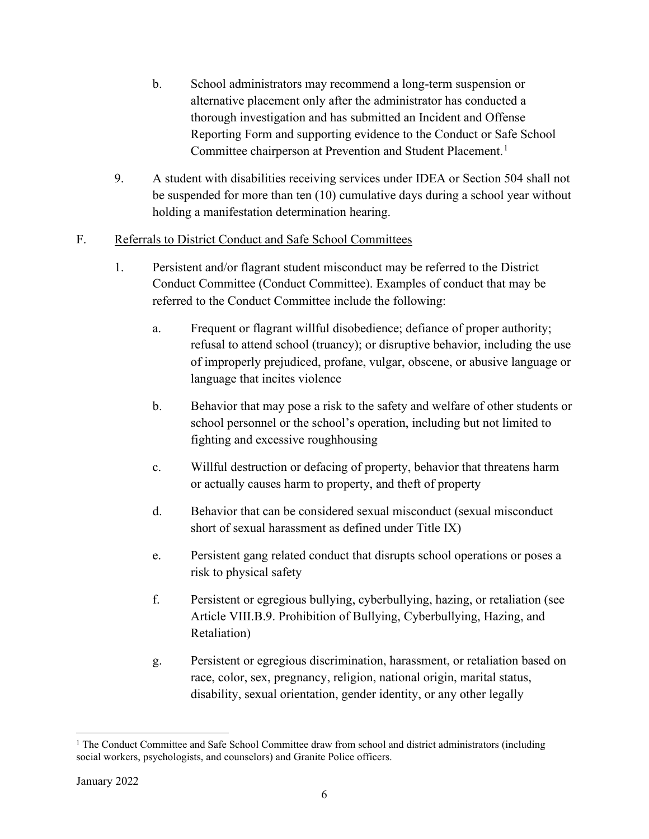- b. School administrators may recommend a long-term suspension or alternative placement only after the administrator has conducted a thorough investigation and has submitted an Incident and Offense Reporting Form and supporting evidence to the Conduct or Safe School Committee chairperson at Prevention and Student Placement.<sup>[1](#page-5-0)</sup>
- 9. A student with disabilities receiving services under IDEA or Section 504 shall not be suspended for more than ten (10) cumulative days during a school year without holding a manifestation determination hearing.
- F. Referrals to District Conduct and Safe School Committees
	- 1. Persistent and/or flagrant student misconduct may be referred to the District Conduct Committee (Conduct Committee). Examples of conduct that may be referred to the Conduct Committee include the following:
		- a. Frequent or flagrant willful disobedience; defiance of proper authority; refusal to attend school (truancy); or disruptive behavior, including the use of improperly prejudiced, profane, vulgar, obscene, or abusive language or language that incites violence
		- b. Behavior that may pose a risk to the safety and welfare of other students or school personnel or the school's operation, including but not limited to fighting and excessive roughhousing
		- c. Willful destruction or defacing of property, behavior that threatens harm or actually causes harm to property, and theft of property
		- d. Behavior that can be considered sexual misconduct (sexual misconduct short of sexual harassment as defined under Title IX)
		- e. Persistent gang related conduct that disrupts school operations or poses a risk to physical safety
		- f. Persistent or egregious bullying, cyberbullying, hazing, or retaliation (see Article VIII.B.9. Prohibition of Bullying, Cyberbullying, Hazing, and Retaliation)
		- g. Persistent or egregious discrimination, harassment, or retaliation based on race, color, sex, pregnancy, religion, national origin, marital status, disability, sexual orientation, gender identity, or any other legally

<span id="page-5-0"></span><sup>&</sup>lt;sup>1</sup> The Conduct Committee and Safe School Committee draw from school and district administrators (including social workers, psychologists, and counselors) and Granite Police officers.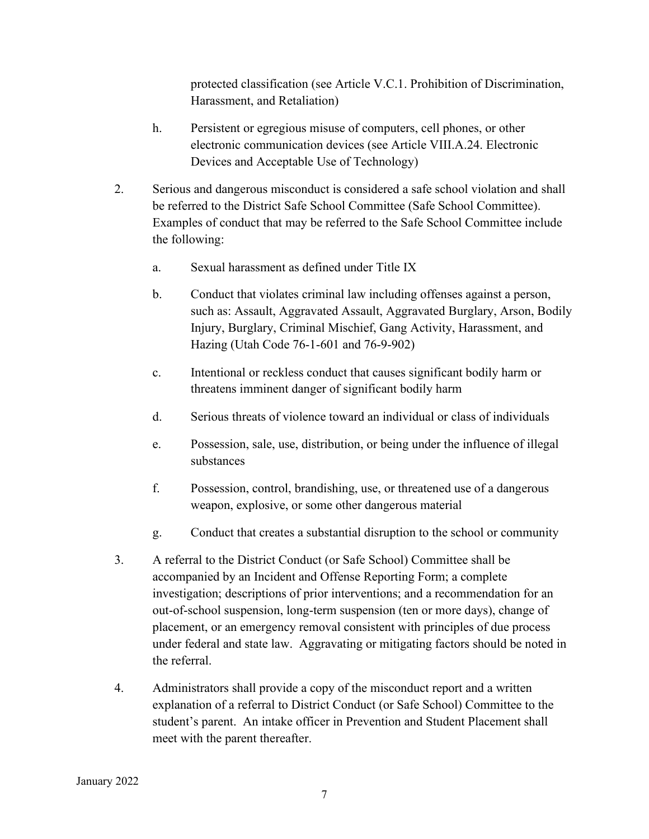protected classification (see Article V.C.1. Prohibition of Discrimination, Harassment, and Retaliation)

- h. Persistent or egregious misuse of computers, cell phones, or other electronic communication devices (see Article VIII.A.24. Electronic Devices and Acceptable Use of Technology)
- 2. Serious and dangerous misconduct is considered a safe school violation and shall be referred to the District Safe School Committee (Safe School Committee). Examples of conduct that may be referred to the Safe School Committee include the following:
	- a. Sexual harassment as defined under Title IX
	- b. Conduct that violates criminal law including offenses against a person, such as: Assault, Aggravated Assault, Aggravated Burglary, Arson, Bodily Injury, Burglary, Criminal Mischief, Gang Activity, Harassment, and Hazing (Utah Code 76-1-601 and 76-9-902)
	- c. Intentional or reckless conduct that causes significant bodily harm or threatens imminent danger of significant bodily harm
	- d. Serious threats of violence toward an individual or class of individuals
	- e. Possession, sale, use, distribution, or being under the influence of illegal substances
	- f. Possession, control, brandishing, use, or threatened use of a dangerous weapon, explosive, or some other dangerous material
	- g. Conduct that creates a substantial disruption to the school or community
- 3. A referral to the District Conduct (or Safe School) Committee shall be accompanied by an Incident and Offense Reporting Form; a complete investigation; descriptions of prior interventions; and a recommendation for an out-of-school suspension, long-term suspension (ten or more days), change of placement, or an emergency removal consistent with principles of due process under federal and state law. Aggravating or mitigating factors should be noted in the referral.
- 4. Administrators shall provide a copy of the misconduct report and a written explanation of a referral to District Conduct (or Safe School) Committee to the student's parent. An intake officer in Prevention and Student Placement shall meet with the parent thereafter.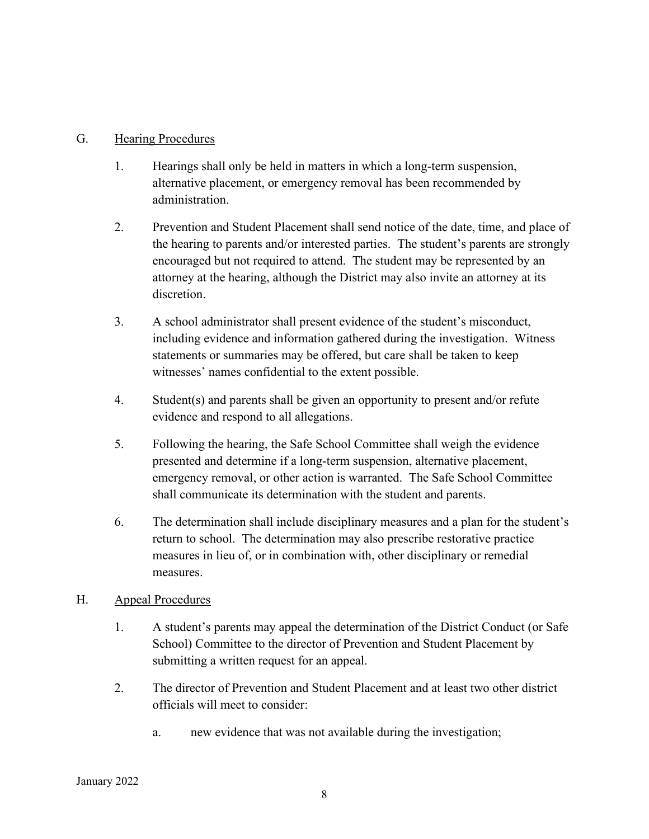### G. Hearing Procedures

- 1. Hearings shall only be held in matters in which a long-term suspension, alternative placement, or emergency removal has been recommended by administration.
- 2. Prevention and Student Placement shall send notice of the date, time, and place of the hearing to parents and/or interested parties. The student's parents are strongly encouraged but not required to attend. The student may be represented by an attorney at the hearing, although the District may also invite an attorney at its discretion.
- 3. A school administrator shall present evidence of the student's misconduct, including evidence and information gathered during the investigation. Witness statements or summaries may be offered, but care shall be taken to keep witnesses' names confidential to the extent possible.
- 4. Student(s) and parents shall be given an opportunity to present and/or refute evidence and respond to all allegations.
- 5. Following the hearing, the Safe School Committee shall weigh the evidence presented and determine if a long-term suspension, alternative placement, emergency removal, or other action is warranted. The Safe School Committee shall communicate its determination with the student and parents.
- 6. The determination shall include disciplinary measures and a plan for the student's return to school. The determination may also prescribe restorative practice measures in lieu of, or in combination with, other disciplinary or remedial measures.

## H. Appeal Procedures

- 1. A student's parents may appeal the determination of the District Conduct (or Safe School) Committee to the director of Prevention and Student Placement by submitting a written request for an appeal.
- 2. The director of Prevention and Student Placement and at least two other district officials will meet to consider:
	- a. new evidence that was not available during the investigation;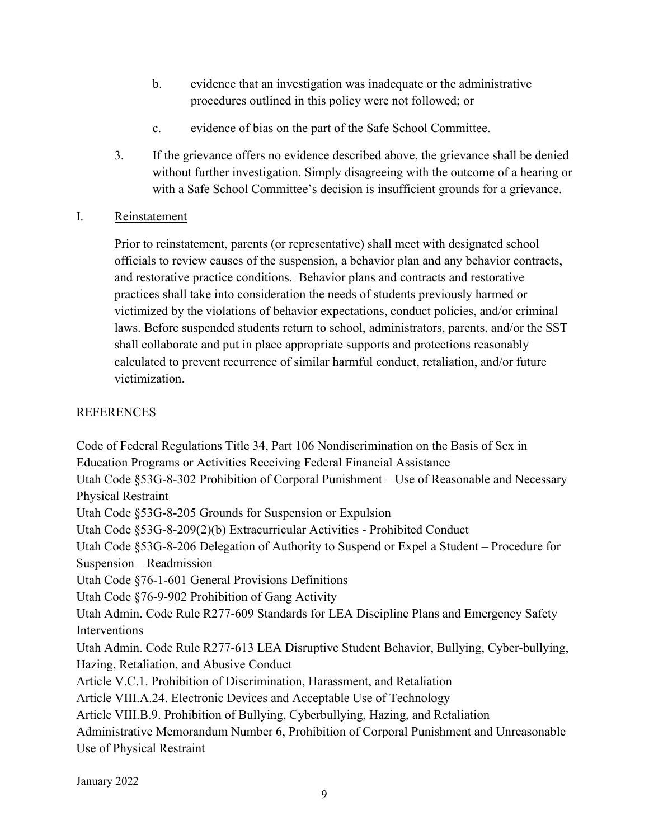- b. evidence that an investigation was inadequate or the administrative procedures outlined in this policy were not followed; or
- c. evidence of bias on the part of the Safe School Committee.
- 3. If the grievance offers no evidence described above, the grievance shall be denied without further investigation. Simply disagreeing with the outcome of a hearing or with a Safe School Committee's decision is insufficient grounds for a grievance.

## I. Reinstatement

Prior to reinstatement, parents (or representative) shall meet with designated school officials to review causes of the suspension, a behavior plan and any behavior contracts, and restorative practice conditions. Behavior plans and contracts and restorative practices shall take into consideration the needs of students previously harmed or victimized by the violations of behavior expectations, conduct policies, and/or criminal laws. Before suspended students return to school, administrators, parents, and/or the SST shall collaborate and put in place appropriate supports and protections reasonably calculated to prevent recurrence of similar harmful conduct, retaliation, and/or future victimization.

# **REFERENCES**

Code of Federal Regulations Title 34, Part 106 Nondiscrimination on the Basis of Sex in Education Programs or Activities Receiving Federal Financial Assistance Utah Code §53G-8-302 Prohibition of Corporal Punishment – Use of Reasonable and Necessary Physical Restraint Utah Code §53G-8-205 Grounds for Suspension or Expulsion Utah Code §53G-8-209(2)(b) Extracurricular Activities - Prohibited Conduct Utah Code §53G-8-206 Delegation of Authority to Suspend or Expel a Student – Procedure for Suspension – Readmission Utah Code §76-1-601 General Provisions Definitions Utah Code §76-9-902 Prohibition of Gang Activity Utah Admin. Code Rule R277-609 Standards for LEA Discipline Plans and Emergency Safety Interventions Utah Admin. Code Rule R277-613 LEA Disruptive Student Behavior, Bullying, Cyber-bullying, Hazing, Retaliation, and Abusive Conduct Article V.C.1. Prohibition of Discrimination, Harassment, and Retaliation Article VIII.A.24. Electronic Devices and Acceptable Use of Technology Article VIII.B.9. Prohibition of Bullying, Cyberbullying, Hazing, and Retaliation Administrative Memorandum Number 6, Prohibition of Corporal Punishment and Unreasonable Use of Physical Restraint

January 2022